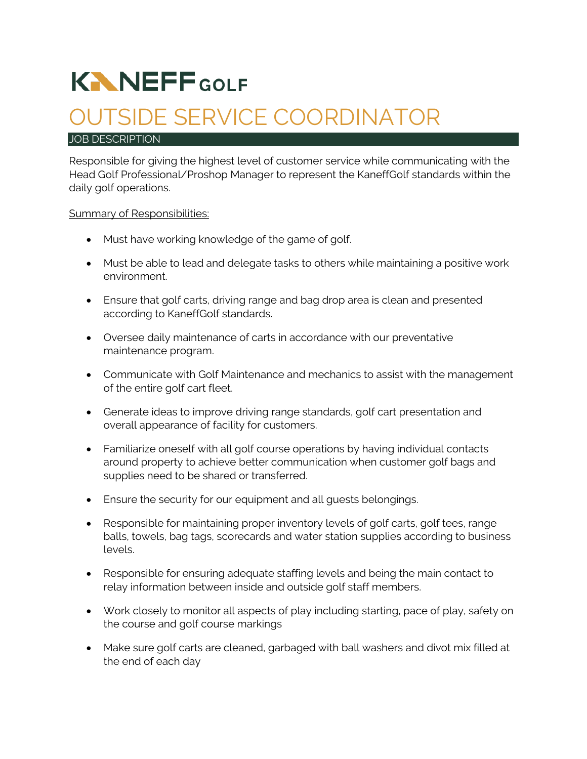# **KNNEFFGOLF**

## OUTSIDE SERVICE COORDINATOR

#### JOB DESCRIPTION

Responsible for giving the highest level of customer service while communicating with the Head Golf Professional/Proshop Manager to represent the KaneffGolf standards within the daily golf operations.

#### Summary of Responsibilities:

- Must have working knowledge of the game of golf.
- Must be able to lead and delegate tasks to others while maintaining a positive work environment.
- Ensure that golf carts, driving range and bag drop area is clean and presented according to KaneffGolf standards.
- Oversee daily maintenance of carts in accordance with our preventative maintenance program.
- Communicate with Golf Maintenance and mechanics to assist with the management of the entire golf cart fleet.
- Generate ideas to improve driving range standards, golf cart presentation and overall appearance of facility for customers.
- Familiarize oneself with all golf course operations by having individual contacts around property to achieve better communication when customer golf bags and supplies need to be shared or transferred.
- Ensure the security for our equipment and all guests belongings.
- Responsible for maintaining proper inventory levels of golf carts, golf tees, range balls, towels, bag tags, scorecards and water station supplies according to business levels.
- Responsible for ensuring adequate staffing levels and being the main contact to relay information between inside and outside golf staff members.
- Work closely to monitor all aspects of play including starting, pace of play, safety on the course and golf course markings
- Make sure golf carts are cleaned, garbaged with ball washers and divot mix filled at the end of each day